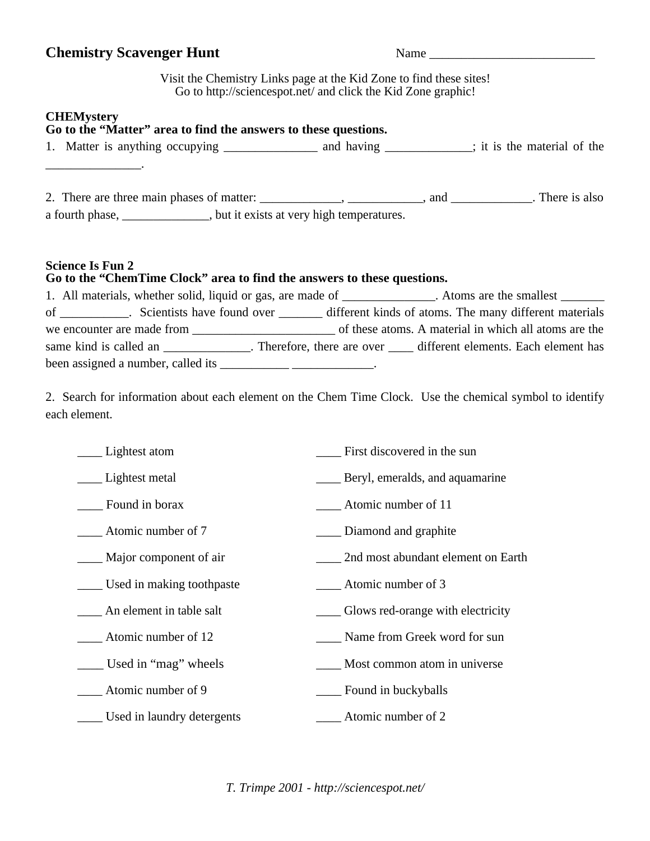## **Chemistry Scavenger Hunt** Name \_\_\_\_\_\_\_\_\_\_\_\_\_\_\_\_\_\_\_\_\_\_\_\_\_\_

Visit the Chemistry Links page at the Kid Zone to find these sites! Go to <http://sciencespot.net/> and click the Kid Zone graphic!

## **CHEMystery**

| <b>CITETAL</b><br>Go to the "Matter" area to find the answers to these questions.                  |                                                                                                             |  |
|----------------------------------------------------------------------------------------------------|-------------------------------------------------------------------------------------------------------------|--|
|                                                                                                    |                                                                                                             |  |
|                                                                                                    |                                                                                                             |  |
|                                                                                                    |                                                                                                             |  |
| a fourth phase, _______________, but it exists at very high temperatures.                          |                                                                                                             |  |
| <b>Science Is Fun 2</b><br>Go to the "ChemTime Clock" area to find the answers to these questions. |                                                                                                             |  |
|                                                                                                    | 1. All materials, whether solid, liquid or gas, are made of ____________. Atoms are the smallest _______    |  |
|                                                                                                    | of ___________. Scientists have found over ________ different kinds of atoms. The many different materials  |  |
|                                                                                                    |                                                                                                             |  |
|                                                                                                    | same kind is called an ______________. Therefore, there are over _____ different elements. Each element has |  |
| been assigned a number, called its ____________________________.                                   |                                                                                                             |  |
| each element.                                                                                      | 2. Search for information about each element on the Chem Time Clock. Use the chemical symbol to identify    |  |
| _______ Lightest atom                                                                              | First discovered in the sun                                                                                 |  |
| ___ Lightest metal                                                                                 | <b>EXECUTE:</b> Beryl, emeralds, and aquamarine                                                             |  |
| Found in borax                                                                                     | Atomic number of 11                                                                                         |  |
| <b>Example 1</b> Atomic number of 7                                                                | _____ Diamond and graphite                                                                                  |  |
| _____ Major component of air                                                                       | 2nd most abundant element on Earth                                                                          |  |
| Used in making toothpaste                                                                          | Atomic number of 3                                                                                          |  |
| An element in table salt                                                                           | Glows red-orange with electricity                                                                           |  |
| Atomic number of 12                                                                                | Name from Greek word for sun                                                                                |  |
| Used in "mag" wheels                                                                               | Most common atom in universe                                                                                |  |
| Atomic number of 9                                                                                 | Found in buckyballs                                                                                         |  |
| Used in laundry detergents                                                                         | Atomic number of 2                                                                                          |  |